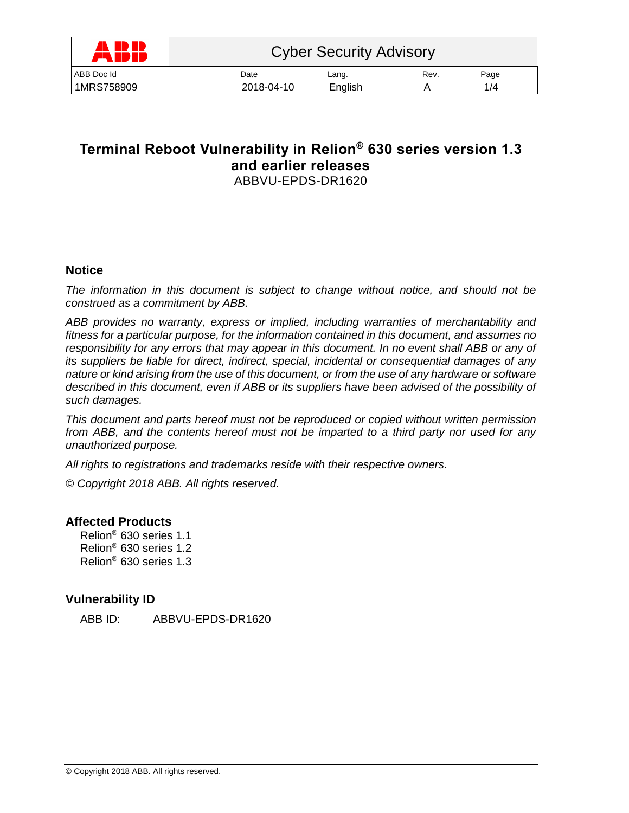| <b>ANDR</b><br><i>F</i> WP IF | <b>Cyber Security Advisory</b> |         |      |      |  |
|-------------------------------|--------------------------------|---------|------|------|--|
| ABB Doc Id                    | Date                           | Lang.   | Rev. | Page |  |
| 1MRS758909                    | 2018-04-10                     | English |      | 1/4  |  |

# **Terminal Reboot Vulnerability in Relion® 630 series version 1.3 and earlier releases** ABBVU-EPDS-DR1620

## **Notice**

*The information in this document is subject to change without notice, and should not be construed as a commitment by ABB.* 

*ABB provides no warranty, express or implied, including warranties of merchantability and fitness for a particular purpose, for the information contained in this document, and assumes no responsibility for any errors that may appear in this document. In no event shall ABB or any of its suppliers be liable for direct, indirect, special, incidental or consequential damages of any nature or kind arising from the use of this document, or from the use of any hardware or software described in this document, even if ABB or its suppliers have been advised of the possibility of such damages.*

*This document and parts hereof must not be reproduced or copied without written permission from ABB, and the contents hereof must not be imparted to a third party nor used for any unauthorized purpose.*

*All rights to registrations and trademarks reside with their respective owners.*

*© Copyright 2018 ABB. All rights reserved.*

## **Affected Products**

Relion® 630 series 1.1 Relion® 630 series 1.2 Relion® 630 series 1.3

## **Vulnerability ID**

ABB ID: ABBVU-EPDS-DR1620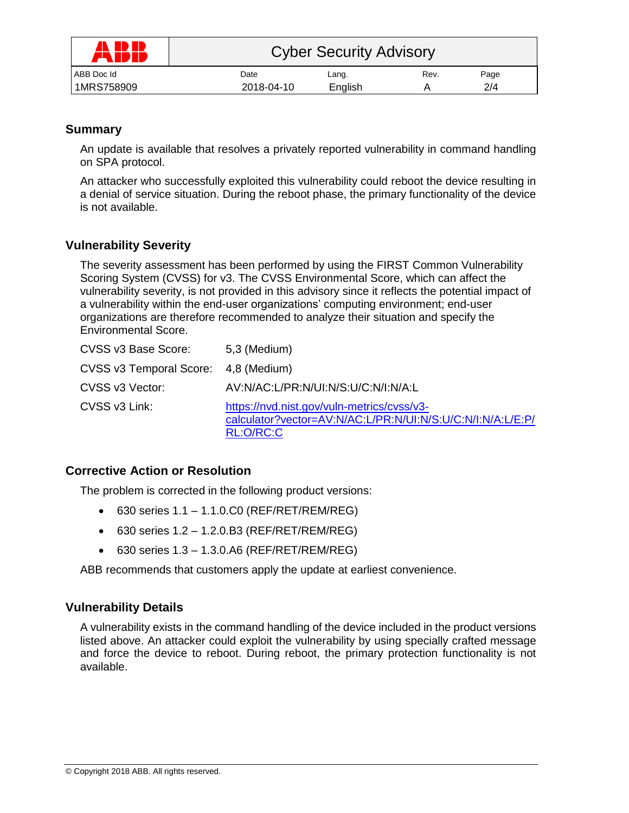| A ID ID<br>FW | <b>Cyber Security Advisory</b> |         |      |      |  |
|---------------|--------------------------------|---------|------|------|--|
| ABB Doc Id    | Date                           | Lang.   | Rev. | Page |  |
| 1MRS758909    | 2018-04-10                     | English |      | 2/4  |  |

# **Summary**

An update is available that resolves a privately reported vulnerability in command handling on SPA protocol.

An attacker who successfully exploited this vulnerability could reboot the device resulting in a denial of service situation. During the reboot phase, the primary functionality of the device is not available.

# **Vulnerability Severity**

The severity assessment has been performed by using the FIRST Common Vulnerability Scoring System (CVSS) for v3. The CVSS Environmental Score, which can affect the vulnerability severity, is not provided in this advisory since it reflects the potential impact of a vulnerability within the end-user organizations' computing environment; end-user organizations are therefore recommended to analyze their situation and specify the Environmental Score.

| CVSS v3 Base Score:                  | 5,3 (Medium)                                                                                                          |
|--------------------------------------|-----------------------------------------------------------------------------------------------------------------------|
| CVSS v3 Temporal Score: 4,8 (Medium) |                                                                                                                       |
| CVSS v3 Vector:                      | AV:N/AC:L/PR:N/UI:N/S:U/C:N/I:N/A:L                                                                                   |
| CVSS v3 Link:                        | https://nvd.nist.gov/vuln-metrics/cvss/v3-<br>calculator?vector=AV:N/AC:L/PR:N/UI:N/S:U/C:N/I:N/A:L/E:P/<br>RL:O/RC:C |

## **Corrective Action or Resolution**

The problem is corrected in the following product versions:

- $630$  series  $1.1 1.1.0$ .C0 (REF/RET/REM/REG)
- $630$  series  $1.2 1.2.0$ .B3 (REF/RET/REM/REG)
- $\bullet$  630 series 1.3 1.3.0.A6 (REF/RET/REM/REG)

ABB recommends that customers apply the update at earliest convenience.

# **Vulnerability Details**

A vulnerability exists in the command handling of the device included in the product versions listed above. An attacker could exploit the vulnerability by using specially crafted message and force the device to reboot. During reboot, the primary protection functionality is not available.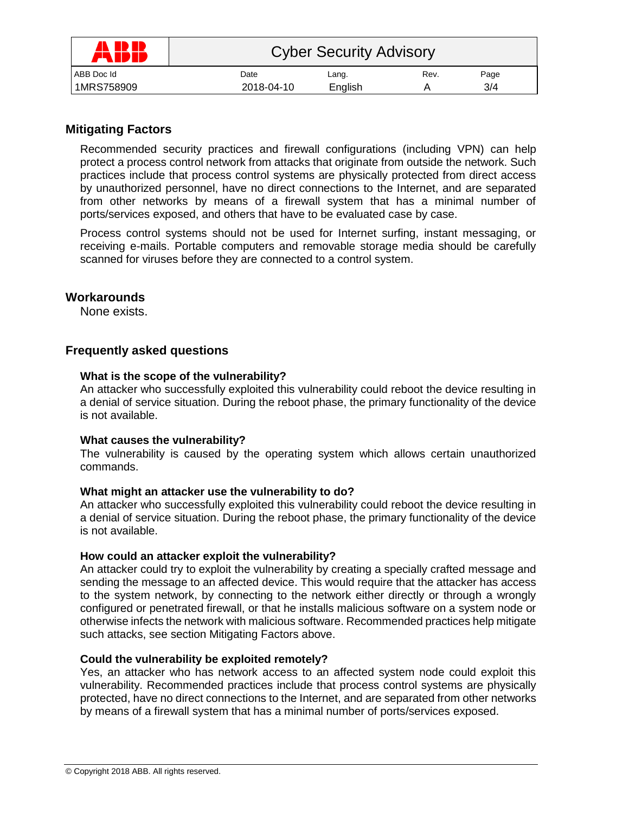| A ID IB<br>ÆN | <b>Cyber Security Advisory</b> |         |      |      |  |
|---------------|--------------------------------|---------|------|------|--|
| ABB Doc Id    | Date                           | Lang.   | Rev. | Page |  |
| 1MRS758909    | 2018-04-10                     | English |      | 3/4  |  |

# **Mitigating Factors**

Recommended security practices and firewall configurations (including VPN) can help protect a process control network from attacks that originate from outside the network. Such practices include that process control systems are physically protected from direct access by unauthorized personnel, have no direct connections to the Internet, and are separated from other networks by means of a firewall system that has a minimal number of ports/services exposed, and others that have to be evaluated case by case.

Process control systems should not be used for Internet surfing, instant messaging, or receiving e-mails. Portable computers and removable storage media should be carefully scanned for viruses before they are connected to a control system.

### **Workarounds**

None exists.

## **Frequently asked questions**

#### **What is the scope of the vulnerability?**

An attacker who successfully exploited this vulnerability could reboot the device resulting in a denial of service situation. During the reboot phase, the primary functionality of the device is not available.

#### **What causes the vulnerability?**

The vulnerability is caused by the operating system which allows certain unauthorized commands.

### **What might an attacker use the vulnerability to do?**

An attacker who successfully exploited this vulnerability could reboot the device resulting in a denial of service situation. During the reboot phase, the primary functionality of the device is not available.

#### **How could an attacker exploit the vulnerability?**

An attacker could try to exploit the vulnerability by creating a specially crafted message and sending the message to an affected device. This would require that the attacker has access to the system network, by connecting to the network either directly or through a wrongly configured or penetrated firewall, or that he installs malicious software on a system node or otherwise infects the network with malicious software. Recommended practices help mitigate such attacks, see section Mitigating Factors above.

### **Could the vulnerability be exploited remotely?**

Yes, an attacker who has network access to an affected system node could exploit this vulnerability. Recommended practices include that process control systems are physically protected, have no direct connections to the Internet, and are separated from other networks by means of a firewall system that has a minimal number of ports/services exposed.